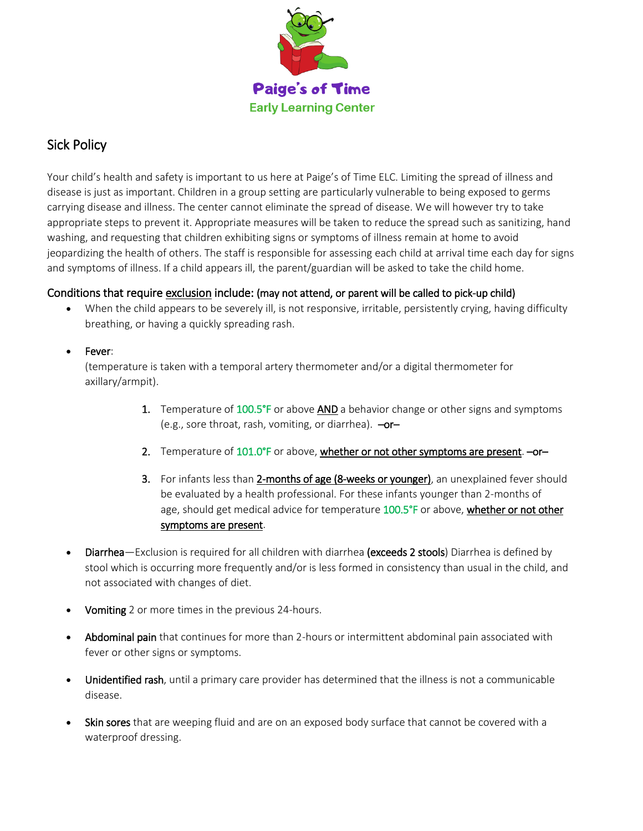

# Sick Policy

Your child's health and safety is important to us here at Paige's of Time ELC. Limiting the spread of illness and disease is just as important. Children in a group setting are particularly vulnerable to being exposed to germs carrying disease and illness. The center cannot eliminate the spread of disease. We will however try to take appropriate steps to prevent it. Appropriate measures will be taken to reduce the spread such as sanitizing, hand washing, and requesting that children exhibiting signs or symptoms of illness remain at home to avoid jeopardizing the health of others. The staff is responsible for assessing each child at arrival time each day for signs and symptoms of illness. If a child appears ill, the parent/guardian will be asked to take the child home.

## Conditions that require exclusion include: (may not attend, or parent will be called to pick-up child)

- When the child appears to be severely ill, is not responsive, irritable, persistently crying, having difficulty breathing, or having a quickly spreading rash.
- Fever:

(temperature is taken with a temporal artery thermometer and/or a digital thermometer for axillary/armpit).

- 1. Temperature of 100.5°F or above AND a behavior change or other signs and symptoms (e.g., sore throat, rash, vomiting, or diarrhea).  $-\text{or}-$
- 2. Temperature of 101.0°F or above, whether or not other symptoms are present.  $-$ or-
- 3. For infants less than 2-months of age (8-weeks or younger), an unexplained fever should be evaluated by a health professional. For these infants younger than 2-months of age, should get medical advice for temperature 100.5°F or above, whether or not other symptoms are present.
- Diarrhea-Exclusion is required for all children with diarrhea (exceeds 2 stools) Diarrhea is defined by stool which is occurring more frequently and/or is less formed in consistency than usual in the child, and not associated with changes of diet.
- Vomiting 2 or more times in the previous 24-hours.
- Abdominal pain that continues for more than 2-hours or intermittent abdominal pain associated with fever or other signs or symptoms.
- Unidentified rash, until a primary care provider has determined that the illness is not a communicable disease.
- Skin sores that are weeping fluid and are on an exposed body surface that cannot be covered with a waterproof dressing.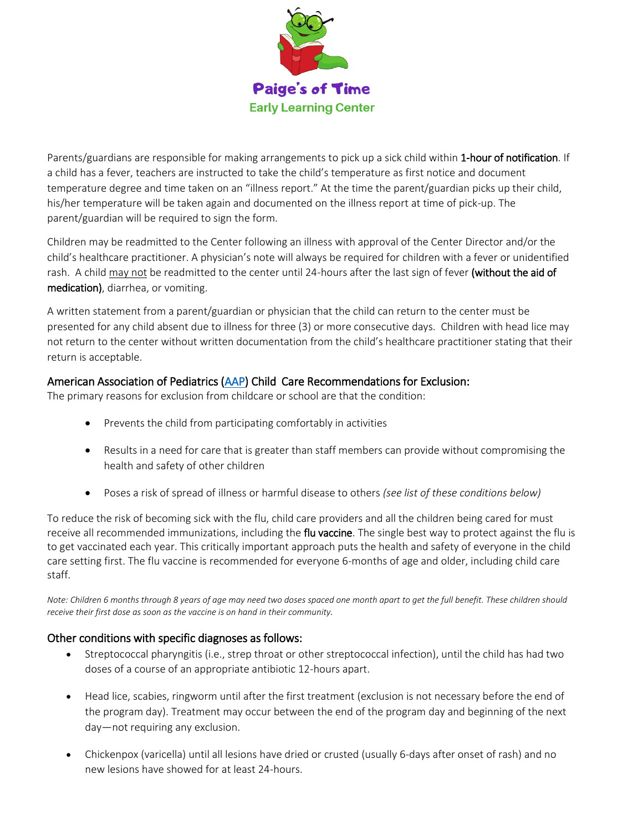

Parents/guardians are responsible for making arrangements to pick up a sick child within 1-hour of notification. If a child has a fever, teachers are instructed to take the child's temperature as first notice and document temperature degree and time taken on an "illness report." At the time the parent/guardian picks up their child, his/her temperature will be taken again and documented on the illness report at time of pick-up. The parent/guardian will be required to sign the form.

Children may be readmitted to the Center following an illness with approval of the Center Director and/or the child's healthcare practitioner. A physician's note will always be required for children with a fever or unidentified rash. A child may not be readmitted to the center until 24-hours after the last sign of fever (without the aid of medication), diarrhea, or vomiting.

A written statement from a parent/guardian or physician that the child can return to the center must be presented for any child absent due to illness for three (3) or more consecutive days. Children with head lice may not return to the center without written documentation from the child's healthcare practitioner stating that their return is acceptable.

### American Association of Pediatrics [\(AAP\)](https://www.aap.org/en-us/Pages/Default.aspx) Child Care Recommendations for Exclusion:

The primary reasons for exclusion from childcare or school are that the condition:

- Prevents the child from participating comfortably in activities
- Results in a need for care that is greater than staff members can provide without compromising the health and safety of other children
- Poses a risk of spread of illness or harmful disease to others *(see list of these conditions below)*

To reduce the risk of becoming sick with the flu, child care providers and all the children being cared for must receive all recommended immunizations, including the **flu vaccine**. The single best way to protect against the flu is to get vaccinated each year. This critically important approach puts the health and safety of everyone in the child care setting first. The flu vaccine is recommended for everyone 6-months of age and older, including child care staff.

*Note: Children 6 months through 8 years of age may need two doses spaced one month apart to get the full benefit. These children should receive their first dose as soon as the vaccine is on hand in their community.*

### Other conditions with specific diagnoses as follows:

- Streptococcal pharyngitis (i.e., strep throat or other streptococcal infection), until the child has had two doses of a course of an appropriate antibiotic 12-hours apart.
- Head lice, scabies, ringworm until after the first treatment (exclusion is not necessary before the end of the program day). Treatment may occur between the end of the program day and beginning of the next day—not requiring any exclusion.
- Chickenpox (varicella) until all lesions have dried or crusted (usually 6-days after onset of rash) and no new lesions have showed for at least 24-hours.